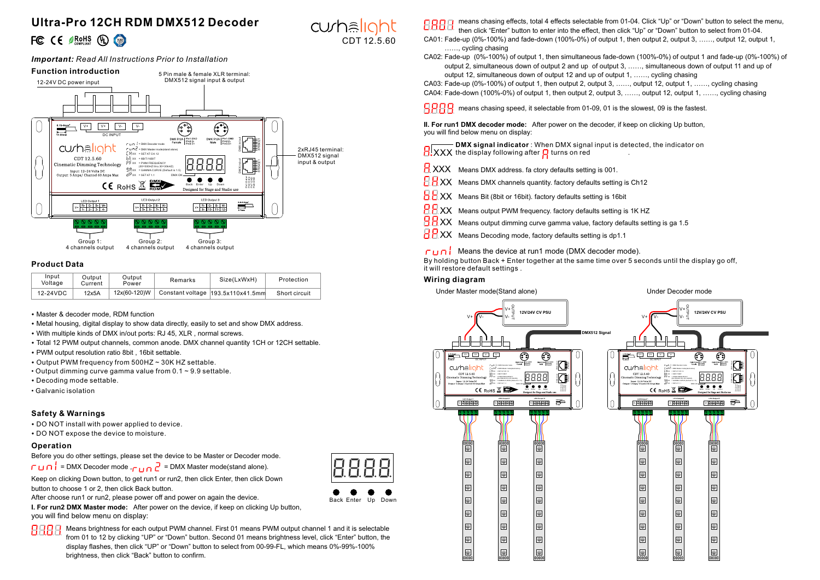# **Ultra-Pro 12CH RDM DMX512 Decoder** FC CE SROHS (D)

## *Important: Read All Instructions Prior to Installation*



# **Product Data**

| Input<br>Voltage | Output<br>Current | Output<br>Power | Remarks | Size(LxWxH)                                      | Protection    |  |
|------------------|-------------------|-----------------|---------|--------------------------------------------------|---------------|--|
| 12-24VDC         | 12x5A             | 12x(60-120)W    |         | $\sqrt{2}$ Constant voltage $ 193.5x110x41.5$ mm | Short circuit |  |

- Master & decoder mode, RDM function
- Metal housing, digital display to show data directly, easily to set and show DMX address.
- With multiple kinds of DMX in/out ports: RJ 45, XLR , normal screws.
- Total 12 PWM output channels, common anode. DMX channel quantity 1CH or 12CH settable.
- PWM output resolution ratio 8bit , 16bit settable
- Output PWM frequency from 500HZ ~ 30K HZ settable.
- Output dimming curve gamma value from  $0.1 \sim 9.9$  settable.
- Decoding mode settable.
- Galvanic isolation

# **Safety & Warnings**

• DO NOT install with power applied to device.

• DO NOT expose the device to moisture.

## **Operation**

Before you do other settings, please set the device to be Master or Decoder mode.  $\Gamma \cup \cap \bigcup_{i=1}^{n}$  = DMX Decoder mode , $\bigcap_{i=1}^{n}$  = DMX Master mode(stand alone).

Keep on clicking Down button, to get run1 or run2, then click Enter, then click Down button to choose 1 or 2, then click Back button.

After choose run1 or run2, please power off and power on again the device.

**I. For run2 DMX Master mode:** After power on the device, if keep on clicking Up button, you will find below menu on display:

8888 Means brightness for each output PWM channel. First 01 means PWM output channel 1 and it is selectable from 01 to 12 by clicking "UP" or "Down" button. Second 01 means brightness level, click "Enter" button, the display flashes, then click "UP" or "Down" button to select from 00-99-FL, which means 0%-99%-100% brightness, then click "Back" button to confirm.

means chasing effects, total 4 effects selectable from 01-04. Click "Up" or "Down" button to select the menu, 8888 then click "Enter" button to enter into the effect, then click "Up" or "Down" button to select from 01-04. CA01: Fade-up (0%-100%) and fade-down (100%-0%) of output 1, then output 2, output 3, ……, output 12, output 1, ……, cycling chasing

CA02: Fade-up (0%-100%) of output 1, then simultaneous fade-down (100%-0%) of output 1 and fade-up (0%-100%) of output 2, simultaneous down of output 2 and up of output 3, ……, simultaneous down of output 11 and up of output 12, simultaneous down of output 12 and up of output 1, ……, cycling chasing

CA03: Fade-up (0%-100%) of output 1, then output 2, output 3, ……, output 12, output 1, ……, cycling chasing CA04: Fade-down (100%-0%) of output 1, then output 2, output 3, ……, output 12, output 1, ……, cycling chasing

 **means chasing speed, it selectable from 01-09, 01 is the slowest, 09 is the fastest.** 

**II. For run1 DMX decoder mode:** After power on the decoder, if keep on clicking Up button, you will find below menu on display:

**DMX signal indicator** : When DMX signal input is detected, the indicator on XXX the display following after turns on red .

 $\overline{H}$  XXX Means DMX address. fa ctory defaults setting is 001.

 $\overline{H}H$  XX Means DMX channels quantity. factory defaults setting is Ch12

 $\overline{\text{B}}\,\text{B}$  XX Means Bit (8bit or 16bit). factory defaults setting is 16bit

**RR** XX Means output PWM frequency. factory defaults setting is 1K HZ

 $\overline{H}$  XX Means output dimming curve gamma value, factory defaults setting is ga 1.5

 $H$  XX Means Decoding mode, factory defaults setting is dp1.1

## $\Gamma \cup \cap$  Means the device at run1 mode (DMX decoder mode).

By holding button Back + Enter together at the same time over 5 seconds until the display go off, it will restore default settings .

## **Wiring diagram**

In

Back Enter Up Down

CDT 12.5.60

curhalight

Under Master mode(Stand alone) Under Decoder mode